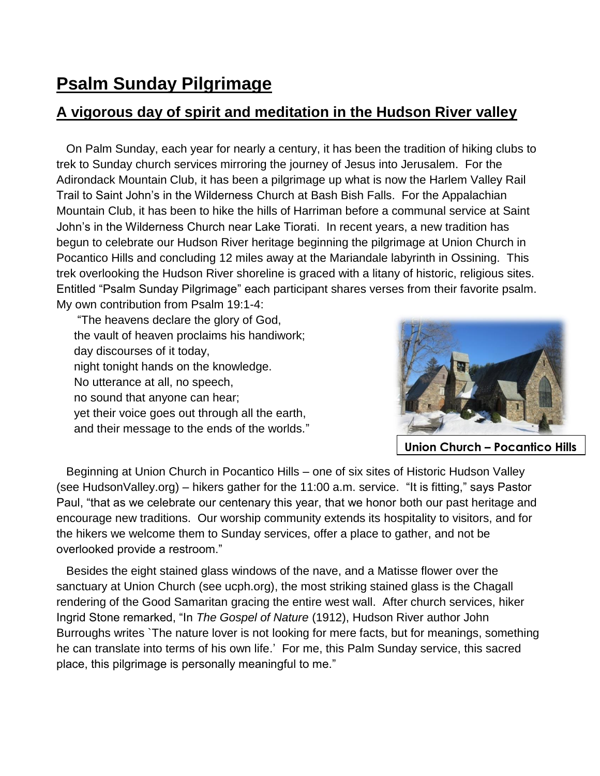## **Psalm Sunday Pilgrimage**

## **A vigorous day of spirit and meditation in the Hudson River valley**

 On Palm Sunday, each year for nearly a century, it has been the tradition of hiking clubs to trek to Sunday church services mirroring the journey of Jesus into Jerusalem. For the Adirondack Mountain Club, it has been a pilgrimage up what is now the Harlem Valley Rail Trail to Saint John's in the Wilderness Church at Bash Bish Falls. For the Appalachian Mountain Club, it has been to hike the hills of Harriman before a communal service at Saint John's in the Wilderness Church near Lake Tiorati. In recent years, a new tradition has begun to celebrate our Hudson River heritage beginning the pilgrimage at Union Church in Pocantico Hills and concluding 12 miles away at the Mariandale labyrinth in Ossining. This trek overlooking the Hudson River shoreline is graced with a litany of historic, religious sites. Entitled "Psalm Sunday Pilgrimage" each participant shares verses from their favorite psalm. My own contribution from Psalm 19:1-4:

"The heavens declare the glory of God, the vault of heaven proclaims his handiwork; day discourses of it today, night tonight hands on the knowledge. No utterance at all, no speech, no sound that anyone can hear; yet their voice goes out through all the earth, and their message to the ends of the worlds."



**Union Church – Pocantico Hills**

 Beginning at Union Church in Pocantico Hills – one of six sites of Historic Hudson Valley (see HudsonValley.org) – hikers gather for the 11:00 a.m. service. "It is fitting," says Pastor Paul, "that as we celebrate our centenary this year, that we honor both our past heritage and encourage new traditions. Our worship community extends its hospitality to visitors, and for the hikers we welcome them to Sunday services, offer a place to gather, and not be overlooked provide a restroom."

 Besides the eight stained glass windows of the nave, and a Matisse flower over the sanctuary at Union Church (see ucph.org), the most striking stained glass is the Chagall rendering of the Good Samaritan gracing the entire west wall. After church services, hiker Ingrid Stone remarked, "In *The Gospel of Nature* (1912), Hudson River author John Burroughs writes `The nature lover is not looking for mere facts, but for meanings, something he can translate into terms of his own life.' For me, this Palm Sunday service, this sacred place, this pilgrimage is personally meaningful to me."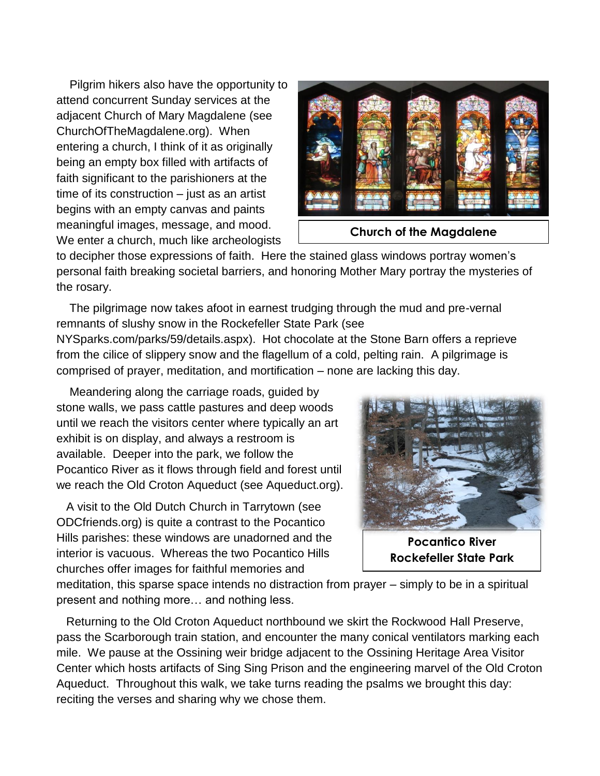Pilgrim hikers also have the opportunity to attend concurrent Sunday services at the adjacent Church of Mary Magdalene (see ChurchOfTheMagdalene.org). When entering a church, I think of it as originally being an empty box filled with artifacts of faith significant to the parishioners at the time of its construction – just as an artist begins with an empty canvas and paints meaningful images, message, and mood. We enter a church, much like archeologists



**Church of the Magdalene**

to decipher those expressions of faith. Here the stained glass windows portray women's personal faith breaking societal barriers, and honoring Mother Mary portray the mysteries of the rosary.

 The pilgrimage now takes afoot in earnest trudging through the mud and pre-vernal remnants of slushy snow in the Rockefeller State Park (see NYSparks.com/parks/59/details.aspx). Hot chocolate at the Stone Barn offers a reprieve from the cilice of slippery snow and the flagellum of a cold, pelting rain. A pilgrimage is comprised of prayer, meditation, and mortification – none are lacking this day.

 Meandering along the carriage roads, guided by stone walls, we pass cattle pastures and deep woods until we reach the visitors center where typically an art exhibit is on display, and always a restroom is available. Deeper into the park, we follow the Pocantico River as it flows through field and forest until we reach the Old Croton Aqueduct (see Aqueduct.org).

 A visit to the Old Dutch Church in Tarrytown (see ODCfriends.org) is quite a contrast to the Pocantico Hills parishes: these windows are unadorned and the interior is vacuous. Whereas the two Pocantico Hills churches offer images for faithful memories and



**Pocantico River Rockefeller State Park**

meditation, this sparse space intends no distraction from prayer – simply to be in a spiritual present and nothing more… and nothing less.

 Returning to the Old Croton Aqueduct northbound we skirt the Rockwood Hall Preserve, pass the Scarborough train station, and encounter the many conical ventilators marking each mile. We pause at the Ossining weir bridge adjacent to the Ossining Heritage Area Visitor Center which hosts artifacts of Sing Sing Prison and the engineering marvel of the Old Croton Aqueduct. Throughout this walk, we take turns reading the psalms we brought this day: reciting the verses and sharing why we chose them.